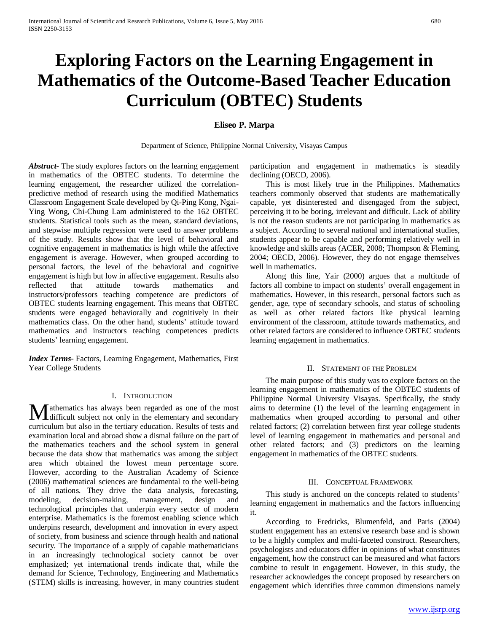# **Exploring Factors on the Learning Engagement in Mathematics of the Outcome-Based Teacher Education Curriculum (OBTEC) Students**

# **Eliseo P. Marpa**

Department of Science, Philippine Normal University, Visayas Campus

*Abstract***-** The study explores factors on the learning engagement in mathematics of the OBTEC students. To determine the learning engagement, the researcher utilized the correlationpredictive method of research using the modified Mathematics Classroom Engagement Scale developed by Qi-Ping Kong, Ngai-Ying Wong, Chi-Chung Lam administered to the 162 OBTEC students. Statistical tools such as the mean, standard deviations, and stepwise multiple regression were used to answer problems of the study. Results show that the level of behavioral and cognitive engagement in mathematics is high while the affective engagement is average. However, when grouped according to personal factors, the level of the behavioral and cognitive engagement is high but low in affective engagement. Results also reflected that attitude towards mathematics and instructors/professors teaching competence are predictors of OBTEC students learning engagement. This means that OBTEC students were engaged behaviorally and cognitively in their mathematics class. On the other hand, students' attitude toward mathematics and instructors teaching competences predicts students' learning engagement.

*Index Terms*- Factors, Learning Engagement, Mathematics, First Year College Students

#### I. INTRODUCTION

athematics has always been regarded as one of the most **M** athematics has always been regarded as one of the most difficult subject not only in the elementary and secondary curriculum but also in the tertiary education. Results of tests and examination local and abroad show a dismal failure on the part of the mathematics teachers and the school system in general because the data show that mathematics was among the subject area which obtained the lowest mean percentage score. However, according to the Australian Academy of Science (2006) mathematical sciences are fundamental to the well-being of all nations. They drive the data analysis, forecasting, modeling, decision-making, management, design and technological principles that underpin every sector of modern enterprise. Mathematics is the foremost enabling science which underpins research, development and innovation in every aspect of society, from business and science through health and national security. The importance of a supply of capable mathematicians in an increasingly technological society cannot be over emphasized; yet international trends indicate that, while the demand for Science, Technology, Engineering and Mathematics (STEM) skills is increasing, however, in many countries student

participation and engagement in mathematics is steadily declining (OECD, 2006).

 This is most likely true in the Philippines. Mathematics teachers commonly observed that students are mathematically capable, yet disinterested and disengaged from the subject, perceiving it to be boring, irrelevant and difficult. Lack of ability is not the reason students are not participating in mathematics as a subject. According to several national and international studies, students appear to be capable and performing relatively well in knowledge and skills areas (ACER, 2008; Thompson & Fleming, 2004; OECD, 2006). However, they do not engage themselves well in mathematics.

 Along this line, Yair (2000) argues that a multitude of factors all combine to impact on students' overall engagement in mathematics. However, in this research, personal factors such as gender, age, type of secondary schools, and status of schooling as well as other related factors like physical learning environment of the classroom, attitude towards mathematics, and other related factors are considered to influence OBTEC students learning engagement in mathematics.

#### II. STATEMENT OF THE PROBLEM

 The main purpose of this study was to explore factors on the learning engagement in mathematics of the OBTEC students of Philippine Normal University Visayas. Specifically, the study aims to determine (1) the level of the learning engagement in mathematics when grouped according to personal and other related factors; (2) correlation between first year college students level of learning engagement in mathematics and personal and other related factors; and (3) predictors on the learning engagement in mathematics of the OBTEC students.

#### III. CONCEPTUAL FRAMEWORK

 This study is anchored on the concepts related to students' learning engagement in mathematics and the factors influencing it.

 According to Fredricks, Blumenfeld, and Paris (2004) student engagement has an extensive research base and is shown to be a highly complex and multi-faceted construct. Researchers, psychologists and educators differ in opinions of what constitutes engagement, how the construct can be measured and what factors combine to result in engagement. However, in this study, the researcher acknowledges the concept proposed by researchers on engagement which identifies three common dimensions namely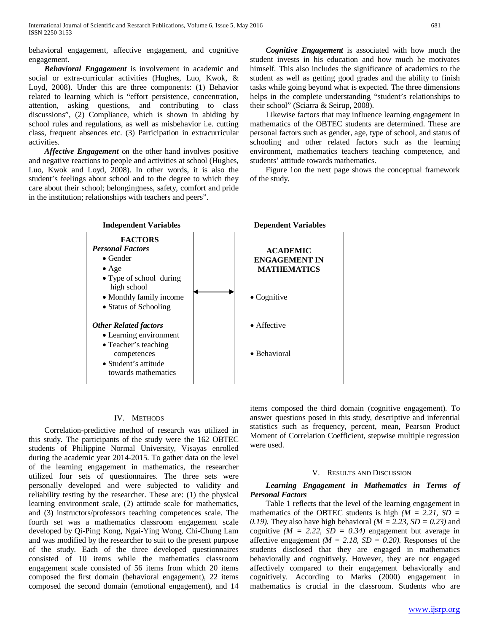behavioral engagement, affective engagement, and cognitive engagement.

 *Behavioral Engagement* is involvement in academic and social or extra-curricular activities (Hughes, Luo, Kwok, & Loyd, 2008). Under this are three components: (1) Behavior related to learning which is "effort persistence, concentration, attention, asking questions, and contributing to class discussions", (2) Compliance, which is shown in abiding by school rules and regulations, as well as misbehavior i.e. cutting class, frequent absences etc. (3) Participation in extracurricular activities.

 *Affective Engagement* on the other hand involves positive and negative reactions to people and activities at school (Hughes, Luo, Kwok and Loyd, 2008). In other words, it is also the student's feelings about school and to the degree to which they care about their school; belongingness, safety, comfort and pride in the institution; relationships with teachers and peers".

 *Cognitive Engagement* is associated with how much the student invests in his education and how much he motivates himself. This also includes the significance of academics to the student as well as getting good grades and the ability to finish tasks while going beyond what is expected. The three dimensions helps in the complete understanding "student's relationships to their school" (Sciarra & Seirup, 2008).

 Likewise factors that may influence learning engagement in mathematics of the OBTEC students are determined. These are personal factors such as gender, age, type of school, and status of schooling and other related factors such as the learning environment, mathematics teachers teaching competence, and students' attitude towards mathematics.

 Figure 1on the next page shows the conceptual framework of the study.



## IV. METHODS

 Correlation-predictive method of research was utilized in this study. The participants of the study were the 162 OBTEC students of Philippine Normal University, Visayas enrolled during the academic year 2014-2015. To gather data on the level of the learning engagement in mathematics, the researcher utilized four sets of questionnaires. The three sets were personally developed and were subjected to validity and reliability testing by the researcher. These are: (1) the physical learning environment scale, (2) attitude scale for mathematics, and (3) instructors/professors teaching competences scale. The fourth set was a mathematics classroom engagement scale developed by Qi-Ping Kong, Ngai-Ying Wong, Chi-Chung Lam and was modified by the researcher to suit to the present purpose of the study. Each of the three developed questionnaires consisted of 10 items while the mathematics classroom engagement scale consisted of 56 items from which 20 items composed the first domain (behavioral engagement), 22 items composed the second domain (emotional engagement), and 14

items composed the third domain (cognitive engagement). To answer questions posed in this study, descriptive and inferential statistics such as frequency, percent, mean, Pearson Product Moment of Correlation Coefficient, stepwise multiple regression were used.

#### V. RESULTS AND DISCUSSION

## *Learning Engagement in Mathematics in Terms of Personal Factors*

 Table 1 reflects that the level of the learning engagement in mathematics of the OBTEC students is high  $(M = 2.21, SD =$ *0.19*). They also have high behavioral  $(M = 2.23, SD = 0.23)$  and cognitive  $(M = 2.22, SD = 0.34)$  engagement but average in affective engagement  $(M = 2.18, SD = 0.20)$ . Responses of the students disclosed that they are engaged in mathematics behaviorally and cognitively. However, they are not engaged affectively compared to their engagement behaviorally and cognitively. According to Marks (2000) engagement in mathematics is crucial in the classroom. Students who are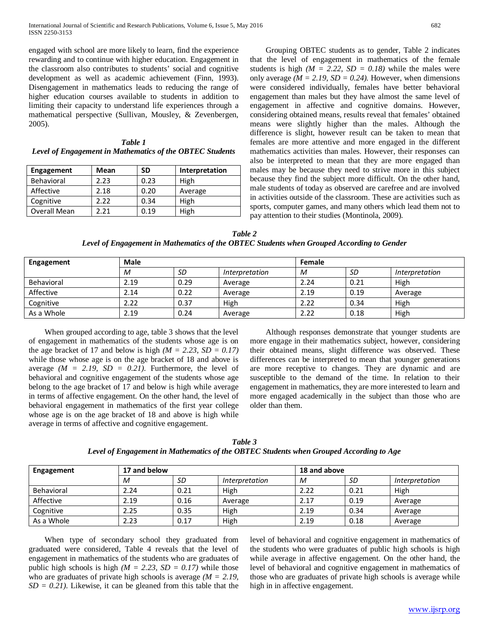International Journal of Scientific and Research Publications, Volume 6, Issue 5, May 2016 682 ISSN 2250-3153

engaged with school are more likely to learn, find the experience rewarding and to continue with higher education. Engagement in the classroom also contributes to students' social and cognitive development as well as academic achievement (Finn, 1993). Disengagement in mathematics leads to reducing the range of higher education courses available to students in addition to limiting their capacity to understand life experiences through a mathematical perspective (Sullivan, Mousley, & Zevenbergen, 2005).

*Table 1 Level of Engagement in Mathematics of the OBTEC Students*

| <b>Engagement</b> | Mean | SD   | Interpretation |
|-------------------|------|------|----------------|
| <b>Behavioral</b> | 2.23 | 0.23 | High           |
| Affective         | 2.18 | 0.20 | Average        |
| Cognitive         | 2.22 | 0.34 | High           |
| Overall Mean      | 2 21 | 0.19 | High           |

 Grouping OBTEC students as to gender, Table 2 indicates that the level of engagement in mathematics of the female students is high  $(M = 2.22, SD = 0.18)$  while the males were only average  $(M = 2.19, SD = 0.24)$ . However, when dimensions were considered individually, females have better behavioral engagement than males but they have almost the same level of engagement in affective and cognitive domains. However, considering obtained means, results reveal that females' obtained means were slightly higher than the males. Although the difference is slight, however result can be taken to mean that females are more attentive and more engaged in the different mathematics activities than males. However, their responses can also be interpreted to mean that they are more engaged than males may be because they need to strive more in this subject because they find the subject more difficult. On the other hand, male students of today as observed are carefree and are involved in activities outside of the classroom. These are activities such as sports, computer games, and many others which lead them not to pay attention to their studies (Montinola, 2009).

*Table 2 Level of Engagement in Mathematics of the OBTEC Students when Grouped According to Gender*

| <b>Engagement</b> | <b>Male</b> |      |                | Female |      |                |
|-------------------|-------------|------|----------------|--------|------|----------------|
|                   | M           | SD   | Interpretation | M      | SD   | Interpretation |
| Behavioral        | 2.19        | 0.29 | Average        | 2.24   | 0.21 | High           |
| Affective         | 2.14        | 0.22 | Average        | 2.19   | 0.19 | Average        |
| Cognitive         | 2.22        | 0.37 | High           | 2.22   | 0.34 | High           |
| As a Whole        | 2.19        | 0.24 | Average        | 2.22   | 0.18 | High           |

 When grouped according to age, table 3 shows that the level of engagement in mathematics of the students whose age is on the age bracket of 17 and below is high  $(M = 2.23, SD = 0.17)$ while those whose age is on the age bracket of 18 and above is average  $(M = 2.19, SD = 0.21)$ . Furthermore, the level of behavioral and cognitive engagement of the students whose age belong to the age bracket of 17 and below is high while average in terms of affective engagement. On the other hand, the level of behavioral engagement in mathematics of the first year college whose age is on the age bracket of 18 and above is high while average in terms of affective and cognitive engagement.

 Although responses demonstrate that younger students are more engage in their mathematics subject, however, considering their obtained means, slight difference was observed. These differences can be interpreted to mean that younger generations are more receptive to changes. They are dynamic and are susceptible to the demand of the time. In relation to their engagement in mathematics, they are more interested to learn and more engaged academically in the subject than those who are older than them.

| Table 3                                                                                |
|----------------------------------------------------------------------------------------|
| Level of Engagement in Mathematics of the OBTEC Students when Grouped According to Age |

| Engagement | 17 and below |      |                       | 18 and above |      |                       |  |
|------------|--------------|------|-----------------------|--------------|------|-----------------------|--|
|            | М            | SD   | <i>Interpretation</i> | M            | SD   | <i>Interpretation</i> |  |
| Behavioral | 2.24         | 0.21 | High                  | 2.22         | 0.21 | High                  |  |
| Affective  | 2.19         | 0.16 | Average               | 2.17         | 0.19 | Average               |  |
| Cognitive  | 2.25         | 0.35 | High                  | 2.19         | 0.34 | Average               |  |
| As a Whole | 2.23         | 0.17 | High                  | 2.19         | 0.18 | Average               |  |

 When type of secondary school they graduated from graduated were considered, Table 4 reveals that the level of engagement in mathematics of the students who are graduates of public high schools is high  $(M = 2.23, SD = 0.17)$  while those who are graduates of private high schools is average *(M = 2.19,*   $SD = 0.21$ . Likewise, it can be gleaned from this table that the

level of behavioral and cognitive engagement in mathematics of the students who were graduates of public high schools is high while average in affective engagement. On the other hand, the level of behavioral and cognitive engagement in mathematics of those who are graduates of private high schools is average while high in in affective engagement.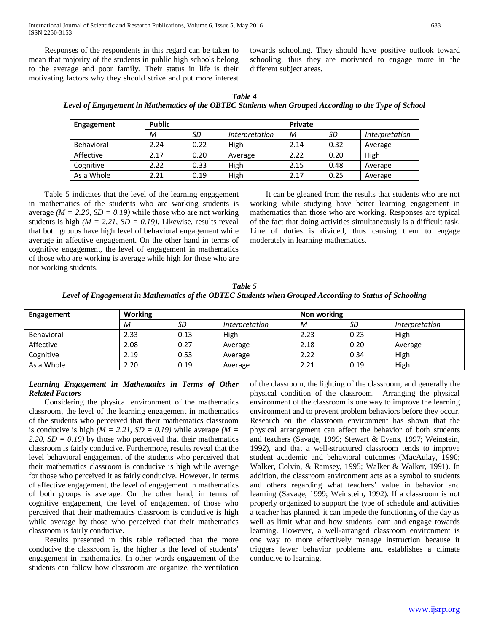International Journal of Scientific and Research Publications, Volume 6, Issue 5, May 2016 683 ISSN 2250-3153

 Responses of the respondents in this regard can be taken to mean that majority of the students in public high schools belong to the average and poor family. Their status in life is their motivating factors why they should strive and put more interest towards schooling. They should have positive outlook toward schooling, thus they are motivated to engage more in the different subject areas.

*Table 4 Level of Engagement in Mathematics of the OBTEC Students when Grouped According to the Type of School*

| Engagement | <b>Public</b> |      |                       | <b>Private</b> |      |                       |
|------------|---------------|------|-----------------------|----------------|------|-----------------------|
|            | M             | SD   | <i>Interpretation</i> | М              | SD   | <i>Interpretation</i> |
| Behavioral | 2.24          | 0.22 | High                  | 2.14           | 0.32 | Average               |
| Affective  | 2.17          | 0.20 | Average               | 2.22           | 0.20 | High                  |
| Cognitive  | 2.22          | 0.33 | High                  | 2.15           | 0.48 | Average               |
| As a Whole | 2.21          | 0.19 | High                  | 2.17           | 0.25 | Average               |

 Table 5 indicates that the level of the learning engagement in mathematics of the students who are working students is average  $(M = 2.20, SD = 0.19)$  while those who are not working students is high *(M = 2.21, SD = 0.19)*. Likewise, results reveal that both groups have high level of behavioral engagement while average in affective engagement. On the other hand in terms of cognitive engagement, the level of engagement in mathematics of those who are working is average while high for those who are not working students.

 It can be gleaned from the results that students who are not working while studying have better learning engagement in mathematics than those who are working. Responses are typical of the fact that doing activities simultaneously is a difficult task. Line of duties is divided, thus causing them to engage moderately in learning mathematics.

*Table 5 Level of Engagement in Mathematics of the OBTEC Students when Grouped According to Status of Schooling*

| Engagement        | Working |      |                | Non working |      |                |
|-------------------|---------|------|----------------|-------------|------|----------------|
|                   | M       | SD   | Interpretation | М           | SD   | Interpretation |
| <b>Behavioral</b> | 2.33    | 0.13 | High           | 2.23        | 0.23 | High           |
| Affective         | 2.08    | 0.27 | Average        | 2.18        | 0.20 | Average        |
| Cognitive         | 2.19    | 0.53 | Average        | 2.22        | 0.34 | High           |
| As a Whole        | 2.20    | 0.19 | Average        | 2.21        | 0.19 | High           |

# *Learning Engagement in Mathematics in Terms of Other Related Factors*

 Considering the physical environment of the mathematics classroom, the level of the learning engagement in mathematics of the students who perceived that their mathematics classroom is conducive is high  $(M = 2.21, SD = 0.19)$  while average  $(M = 1.21, SD = 0.19)$ *2.20, SD = 0.19)* by those who perceived that their mathematics classroom is fairly conducive. Furthermore, results reveal that the level behavioral engagement of the students who perceived that their mathematics classroom is conducive is high while average for those who perceived it as fairly conducive. However, in terms of affective engagement, the level of engagement in mathematics of both groups is average. On the other hand, in terms of cognitive engagement, the level of engagement of those who perceived that their mathematics classroom is conducive is high while average by those who perceived that their mathematics classroom is fairly conducive.

 Results presented in this table reflected that the more conducive the classroom is, the higher is the level of students' engagement in mathematics. In other words engagement of the students can follow how classroom are organize, the ventilation of the classroom, the lighting of the classroom, and generally the physical condition of the classroom. Arranging the physical environment of the classroom is one way to improve the learning environment and to prevent problem behaviors before they occur. Research on the classroom environment has shown that the physical arrangement can affect the behavior of both students and teachers (Savage, 1999; Stewart & Evans, 1997; Weinstein, 1992), and that a well-structured classroom tends to improve student academic and behavioral outcomes (MacAulay, 1990; Walker, Colvin, & Ramsey, 1995; Walker & Walker, 1991). In addition, the classroom environment acts as a symbol to students and others regarding what teachers' value in behavior and learning (Savage, 1999; Weinstein, 1992). If a classroom is not properly organized to support the type of schedule and activities a teacher has planned, it can impede the functioning of the day as well as limit what and how students learn and engage towards learning. However, a well-arranged classroom environment is one way to more effectively manage instruction because it triggers fewer behavior problems and establishes a climate conducive to learning.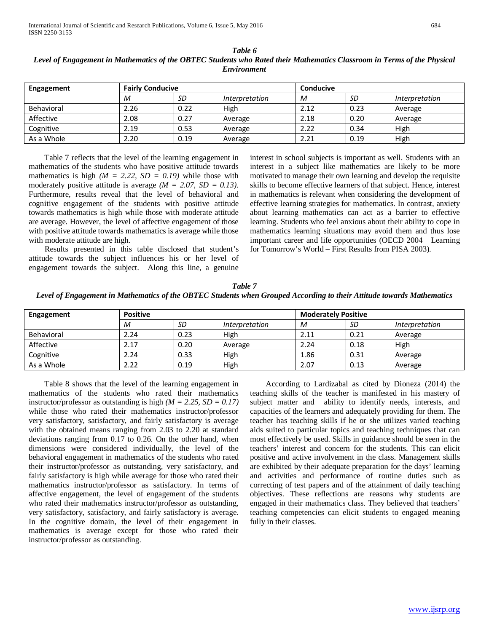| Engagement | <b>Fairly Conducive</b> |           |                | <b>Conducive</b> |      |                |
|------------|-------------------------|-----------|----------------|------------------|------|----------------|
|            | M                       | <b>SD</b> | Interpretation | M                | SD   | Interpretation |
| Behavioral | 2.26                    | 0.22      | High           | 2.12             | 0.23 | Average        |
| Affective  | 2.08                    | 0.27      | Average        | 2.18             | 0.20 | Average        |
| Cognitive  | 2.19                    | 0.53      | Average        | 2.22             | 0.34 | High           |
| As a Whole | 2.20                    | 0.19      | Average        | 2.21             | 0.19 | High           |

*Table 6 Level of Engagement in Mathematics of the OBTEC Students who Rated their Mathematics Classroom in Terms of the Physical Environment*

 Table 7 reflects that the level of the learning engagement in mathematics of the students who have positive attitude towards mathematics is high  $(M = 2.22, SD = 0.19)$  while those with moderately positive attitude is average *(M = 2.07, SD = 0.13)*. Furthermore, results reveal that the level of behavioral and cognitive engagement of the students with positive attitude towards mathematics is high while those with moderate attitude are average. However, the level of affective engagement of those with positive attitude towards mathematics is average while those with moderate attitude are high.

 Results presented in this table disclosed that student's attitude towards the subject influences his or her level of engagement towards the subject. Along this line, a genuine

interest in school subjects is important as well. Students with an interest in a subject like mathematics are likely to be more motivated to manage their own learning and develop the requisite skills to become effective learners of that subject. Hence, interest in mathematics is relevant when considering the development of effective learning strategies for mathematics. In contrast, anxiety about learning mathematics can act as a barrier to effective learning. Students who feel anxious about their ability to cope in mathematics learning situations may avoid them and thus lose important career and life opportunities (OECD 2004 Learning for Tomorrow's World – First Results from PISA 2003).

*Table 7 Level of Engagement in Mathematics of the OBTEC Students when Grouped According to their Attitude towards Mathematics*

| Engagement        | <b>Positive</b> |      |                | <b>Moderately Positive</b> |      |                |  |
|-------------------|-----------------|------|----------------|----------------------------|------|----------------|--|
|                   | M               | SD   | Interpretation | M                          | SD   | Interpretation |  |
| <b>Behavioral</b> | 2.24            | 0.23 | High           | 2.11                       | 0.21 | Average        |  |
| Affective         | 2.17            | 0.20 | Average        | 2.24                       | 0.18 | High           |  |
| Cognitive         | 2.24            | 0.33 | High           | 1.86                       | 0.31 | Average        |  |
| As a Whole        | 2.22            | 0.19 | High           | 2.07                       | 0.13 | Average        |  |

 Table 8 shows that the level of the learning engagement in mathematics of the students who rated their mathematics instructor/professor as outstanding is high  $(M = 2.25, SD = 0.17)$ while those who rated their mathematics instructor/professor very satisfactory, satisfactory, and fairly satisfactory is average with the obtained means ranging from 2.03 to 2.20 at standard deviations ranging from 0.17 to 0.26. On the other hand, when dimensions were considered individually, the level of the behavioral engagement in mathematics of the students who rated their instructor/professor as outstanding, very satisfactory, and fairly satisfactory is high while average for those who rated their mathematics instructor/professor as satisfactory. In terms of affective engagement, the level of engagement of the students who rated their mathematics instructor/professor as outstanding, very satisfactory, satisfactory, and fairly satisfactory is average. In the cognitive domain, the level of their engagement in mathematics is average except for those who rated their instructor/professor as outstanding.

 According to Lardizabal as cited by Dioneza (2014) the teaching skills of the teacher is manifested in his mastery of subject matter and ability to identify needs, interests, and capacities of the learners and adequately providing for them. The teacher has teaching skills if he or she utilizes varied teaching aids suited to particular topics and teaching techniques that can most effectively be used. Skills in guidance should be seen in the teachers' interest and concern for the students. This can elicit positive and active involvement in the class. Management skills are exhibited by their adequate preparation for the days' learning and activities and performance of routine duties such as correcting of test papers and of the attainment of daily teaching objectives. These reflections are reasons why students are engaged in their mathematics class. They believed that teachers' teaching competencies can elicit students to engaged meaning fully in their classes.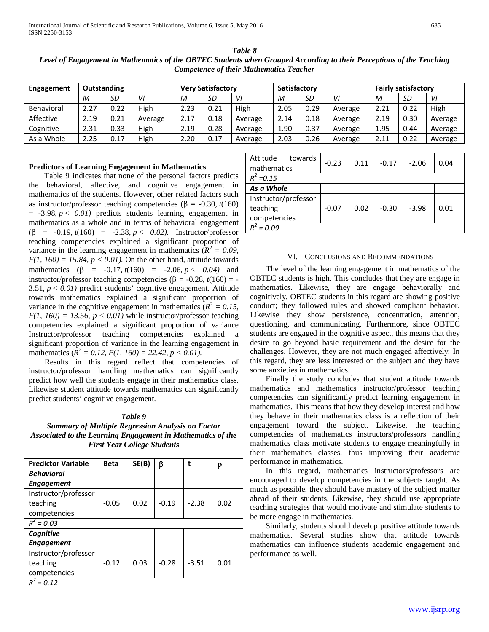| <b>Engagement</b> | Outstanding |      |         | <b>Very Satisfactory</b> |      | <b>Satisfactory</b> |      |      | <b>Fairly satisfactory</b> |      |      |         |
|-------------------|-------------|------|---------|--------------------------|------|---------------------|------|------|----------------------------|------|------|---------|
|                   | M           | SD   | VI      | М                        | SD   | VI                  | M    | SD   | VI                         | M    | SD   | VI      |
| <b>Behavioral</b> | 2.27        | 0.22 | High    | 2.23                     | 0.21 | High                | 2.05 | 0.29 | Average                    | 2.21 | 0.22 | High    |
| Affective         | 2.19        | 0.21 | Average | 2.17                     | 0.18 | Average             | 2.14 | 0.18 | Average                    | 2.19 | 0.30 | Average |
| Cognitive         | 2.31        | 0.33 | High    | 2.19                     | 0.28 | Average             | 1.90 | 0.37 | Average                    | 1.95 | 0.44 | Average |
| As a Whole        | 2.25        | 0.17 | High    | 2.20                     | 0.17 | Average             | 2.03 | 0.26 | Average                    | 2.11 | 0.22 | Average |

*Table 8 Level of Engagement in Mathematics of the OBTEC Students when Grouped According to their Perceptions of the Teaching Competence of their Mathematics Teacher*

# **Predictors of Learning Engagement in Mathematics**

 Table 9 indicates that none of the personal factors predicts the behavioral, affective, and cognitive engagement in mathematics of the students. However, other related factors such as instructor/professor teaching competencies (β = -0.30, *t*(160)  $= -3.98, p < 0.01$ ) predicts students learning engagement in mathematics as a whole and in terms of behavioral engagement (β = -0.19, *t*(160) = -2.38, *p* < *0.02)*. Instructor/professor teaching competencies explained a significant proportion of variance in the learning engagement in mathematics  $(R^2 = 0.09)$ ,  $F(1, 160) = 15.84$ ,  $p < 0.01$ ). On the other hand, attitude towards mathematics ( $\beta$  = -0.17,  $t(160)$  = -2.06,  $p < 0.04$ ) and instructor/professor teaching competencies (β =  $-0.28$ , *t*(160) =  $-$ 3.51, *p* < *0.01)* predict students' cognitive engagement. Attitude towards mathematics explained a significant proportion of variance in the cognitive engagement in mathematics ( $R^2 = 0.15$ ,  $F(1, 160) = 13.56$ ,  $p < 0.01$ ) while instructor/professor teaching competencies explained a significant proportion of variance Instructor/professor teaching competencies explained a significant proportion of variance in the learning engagement in mathematics  $(R^2 = 0.12, F(1, 160) = 22.42, p < 0.01)$ .

 Results in this regard reflect that competencies of instructor/professor handling mathematics can significantly predict how well the students engage in their mathematics class. Likewise student attitude towards mathematics can significantly predict students' cognitive engagement.

## *Table 9*

*Summary of Multiple Regression Analysis on Factor Associated to the Learning Engagement in Mathematics of the First Year College Students*

| <b>Predictor Variable</b> | <b>Beta</b> | SE(B) | ß       | t       | O    |
|---------------------------|-------------|-------|---------|---------|------|
| <b>Behavioral</b>         |             |       |         |         |      |
| <b>Engagement</b>         |             |       |         |         |      |
| Instructor/professor      |             |       |         |         |      |
| teaching                  | $-0.05$     | 0.02  | $-0.19$ | $-2.38$ | 0.02 |
| competencies              |             |       |         |         |      |
| $R^2 = 0.03$              |             |       |         |         |      |
| Cognitive                 |             |       |         |         |      |
| <b>Engagement</b>         |             |       |         |         |      |
| Instructor/professor      |             |       |         |         |      |
| teaching                  | $-0.12$     | 0.03  | $-0.28$ | $-3.51$ | 0.01 |
| competencies              |             |       |         |         |      |
| $= 0.12$<br>$R^2$         |             |       |         |         |      |

| Attitude<br>towards  | $-0.23$ | 0.11 | $-0.17$ | $-2.06$ | 0.04 |
|----------------------|---------|------|---------|---------|------|
| mathematics          |         |      |         |         |      |
| $R^2 = 0.15$         |         |      |         |         |      |
| As a Whole           |         |      |         |         |      |
| Instructor/professor |         |      |         |         |      |
| teaching             | $-0.07$ | 0.02 | $-0.30$ | $-3.98$ | 0.01 |
| competencies         |         |      |         |         |      |
| $= 0.09$             |         |      |         |         |      |
|                      |         |      |         |         |      |

#### VI. CONCLUSIONS AND RECOMMENDATIONS

 The level of the learning engagement in mathematics of the OBTEC students is high. This concludes that they are engage in mathematics. Likewise, they are engage behaviorally and cognitively. OBTEC students in this regard are showing positive conduct; they followed rules and showed compliant behavior. Likewise they show persistence, concentration, attention, questioning, and communicating. Furthermore, since OBTEC students are engaged in the cognitive aspect, this means that they desire to go beyond basic requirement and the desire for the challenges. However, they are not much engaged affectively. In this regard, they are less interested on the subject and they have some anxieties in mathematics.

 Finally the study concludes that student attitude towards mathematics and mathematics instructor/professor teaching competencies can significantly predict learning engagement in mathematics. This means that how they develop interest and how they behave in their mathematics class is a reflection of their engagement toward the subject. Likewise, the teaching competencies of mathematics instructors/professors handling mathematics class motivate students to engage meaningfully in their mathematics classes, thus improving their academic performance in mathematics.

 In this regard, mathematics instructors/professors are encouraged to develop competencies in the subjects taught. As much as possible, they should have mastery of the subject matter ahead of their students. Likewise, they should use appropriate teaching strategies that would motivate and stimulate students to be more engage in mathematics.

 Similarly, students should develop positive attitude towards mathematics. Several studies show that attitude towards mathematics can influence students academic engagement and performance as well.